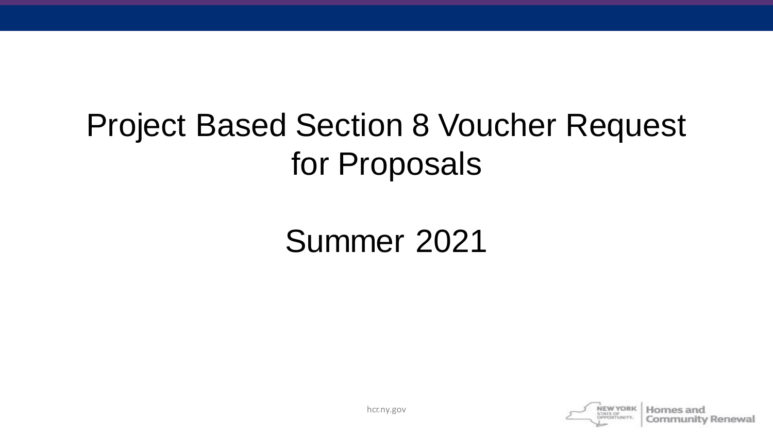## Project Based Section 8 Voucher Request for Proposals

### Summer 2021



Community Renewal

hcr.ny.gov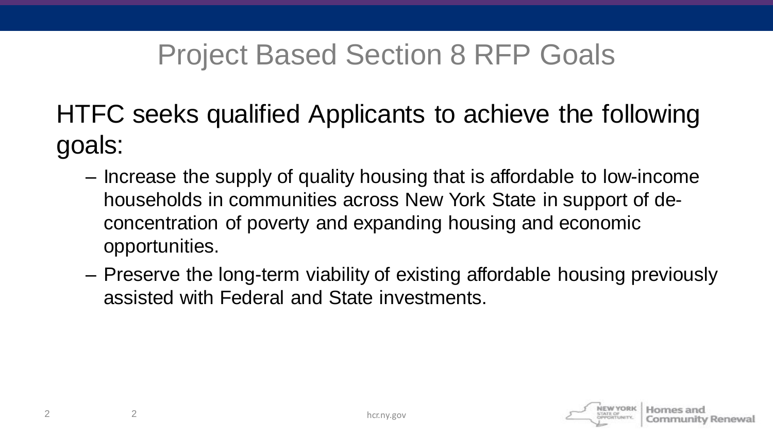### Project Based Section 8 RFP Goals

HTFC seeks qualified Applicants to achieve the following goals:

- Increase the supply of quality housing that is affordable to low-income households in communities across New York State in support of deconcentration of poverty and expanding housing and economic opportunities.
- Preserve the long-term viability of existing affordable housing previously assisted with Federal and State investments.

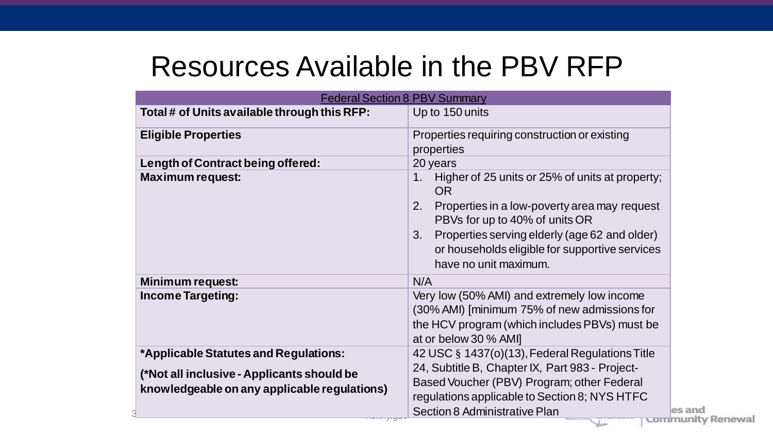#### Resources Available in the PBV RFP

| <b>Federal Section 8 PBV Summary</b>         |                                                                                      |
|----------------------------------------------|--------------------------------------------------------------------------------------|
| Total # of Units available through this RFP: | Up to 150 units                                                                      |
| <b>Eligible Properties</b>                   | Properties requiring construction or existing                                        |
|                                              | properties                                                                           |
| Length of Contract being offered:            | 20 years                                                                             |
| <b>Maximum request:</b>                      | Higher of 25 units or 25% of units at property;<br>1 <sub>1</sub><br><b>OR</b>       |
|                                              | 2.<br>Properties in a low-poverty area may request<br>PBVs for up to 40% of units OR |
|                                              | Properties serving elderly (age 62 and older)<br>3.                                  |
|                                              | or households eligible for supportive services                                       |
|                                              | have no unit maximum.                                                                |
| Minimum request:                             | N/A                                                                                  |
| <b>Income Targeting:</b>                     | Very low (50% AMI) and extremely low income                                          |
|                                              | (30% AMI) [minimum 75% of new admissions for                                         |
|                                              | the HCV program (which includes PBVs) must be                                        |
|                                              | at or below 30 % AMI]                                                                |
| *Applicable Statutes and Regulations:        | 42 USC § 1437(o)(13), Federal Regulations Title                                      |
| (*Not all inclusive - Applicants should be   | 24, Subtitle B, Chapter IX, Part 983 - Project-                                      |
| knowledgeable on any applicable regulations) | Based Voucher (PBV) Program; other Federal                                           |
|                                              | regulations applicable to Section 8; NYS HTFC                                        |
|                                              | Section 8 Administrative Plan                                                        |
| <del>,,,,,,,</del>                           | community Renewal                                                                    |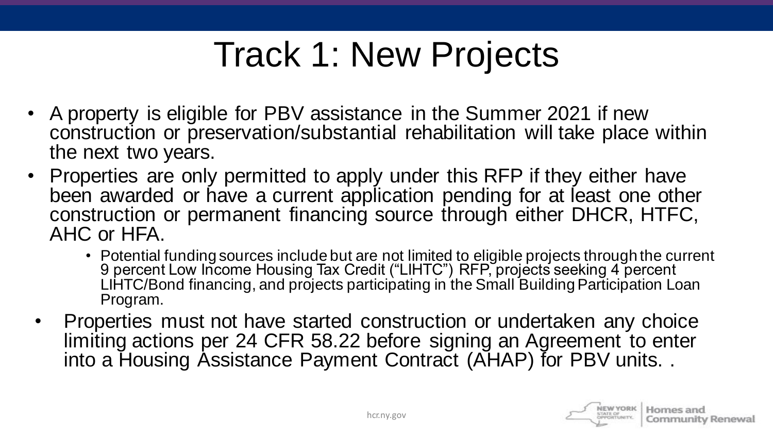## Track 1: New Projects

- A property is eligible for PBV assistance in the Summer 2021 if new construction or preservation/substantial rehabilitation will take place within the next two years.
- Properties are only permitted to apply under this RFP if they either have been awarded or have a current application pending for at least one other construction or permanent financing source through either DHCR, HTFC, AHC or HFA.
	- Potential funding sources include but are not limited to eligible projects through the current 9 percent Low Income Housing Tax Credit ("LIHTC") RFP, projects seeking 4 percent LIHTC/Bond financing, and projects participating in the Small Building Participation Loan Program.
	- Properties must not have started construction or undertaken any choice limiting actions per 24 CFR 58.22 before signing an Agreement to enter into a Housing Assistance Payment Contract (AHAP) for PBV units. .

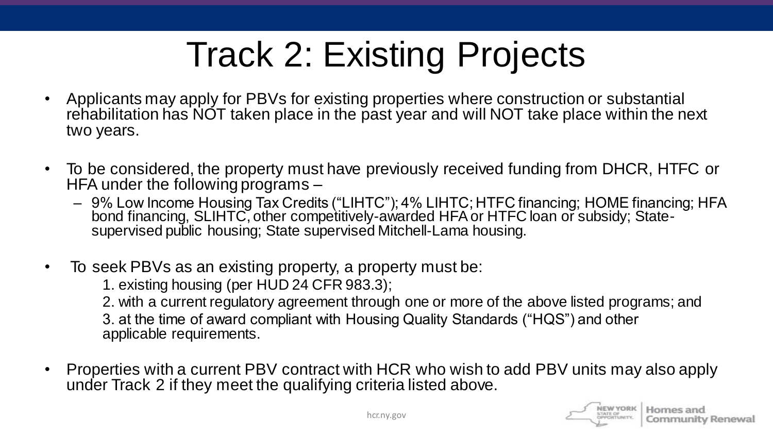## Track 2: Existing Projects

- Applicants may apply for PBVs for existing properties where construction or substantial rehabilitation has NOT taken place in the past year and will NOT take place within the next two years.
- To be considered, the property must have previously received funding from DHCR, HTFC or HFA under the following programs –
	- 9% Low Income Housing Tax Credits ("LIHTC"); 4% LIHTC; HTFC financing; HOME financing; HFA bond financing, SLIHTC, other competitively-awarded HFA or HTFC loan or subsidy; Statesupervised public housing; State supervised Mitchell-Lama housing.
- To seek PBVs as an existing property, a property must be:
	- 1. existing housing (per HUD 24 CFR 983.3);

2. with a current regulatory agreement through one or more of the above listed programs; and

3. at the time of award compliant with Housing Quality Standards ("HQS") and other applicable requirements.

• Properties with a current PBV contract with HCR who wish to add PBV units may also apply under Track 2 if they meet the qualifying criteria listed above.

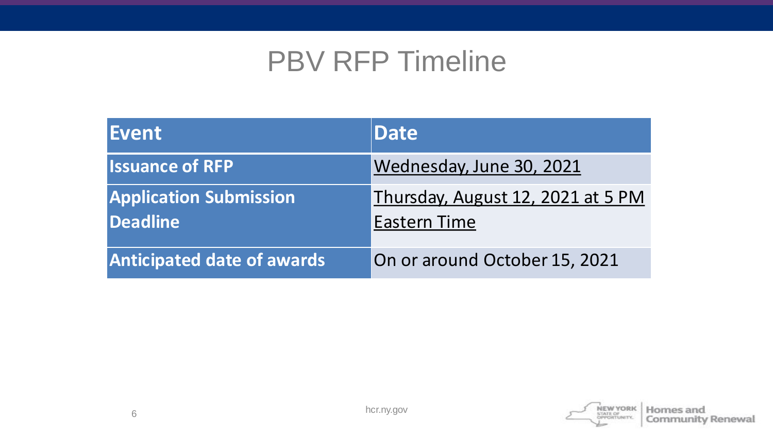#### PBV RFP Timeline

| Event                                            | <b>Date</b>                                              |
|--------------------------------------------------|----------------------------------------------------------|
| <b>Issuance of RFP</b>                           | Wednesday, June 30, 2021                                 |
| <b>Application Submission</b><br><b>Deadline</b> | Thursday, August 12, 2021 at 5 PM<br><b>Eastern Time</b> |
| <b>Anticipated date of awards</b>                | On or around October 15, 2021                            |

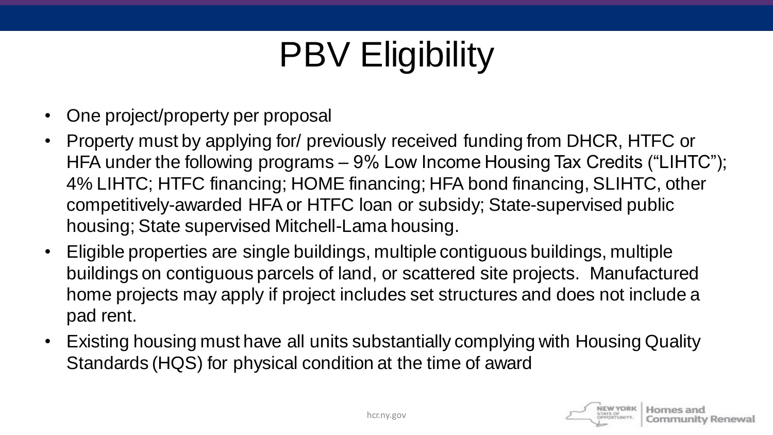# PBV Eligibility

- One project/property per proposal
- Property must by applying for/ previously received funding from DHCR, HTFC or HFA under the following programs – 9% Low Income Housing Tax Credits ("LIHTC"); 4% LIHTC; HTFC financing; HOME financing; HFA bond financing, SLIHTC, other competitively-awarded HFA or HTFC loan or subsidy; State-supervised public housing; State supervised Mitchell-Lama housing.
- Eligible properties are single buildings, multiple contiguous buildings, multiple buildings on contiguous parcels of land, or scattered site projects. Manufactured home projects may apply if project includes set structures and does not include a pad rent.
- Existing housing must have all units substantially complying with Housing Quality Standards (HQS) for physical condition at the time of award

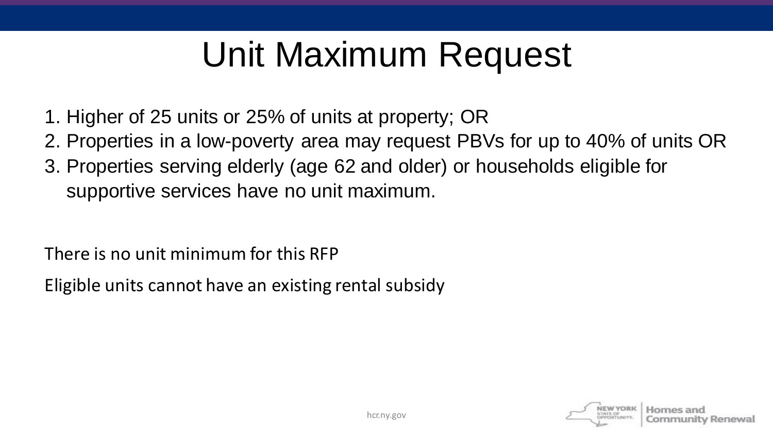## Unit Maximum Request

- 1. Higher of 25 units or 25% of units at property; OR
- 2. Properties in a low-poverty area may request PBVs for up to 40% of units OR
- 3. Properties serving elderly (age 62 and older) or households eligible for supportive services have no unit maximum.

There is no unit minimum for this RFP

Eligible units cannot have an existing rental subsidy

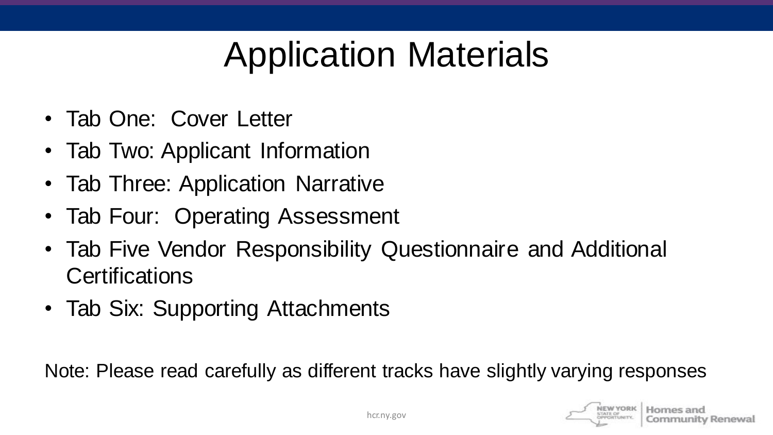## Application Materials

- Tab One: Cover Letter
- Tab Two: Applicant Information
- Tab Three: Application Narrative
- Tab Four: Operating Assessment
- Tab Five Vendor Responsibility Questionnaire and Additional **Certifications**
- Tab Six: Supporting Attachments

Note: Please read carefully as different tracks have slightly varying responses

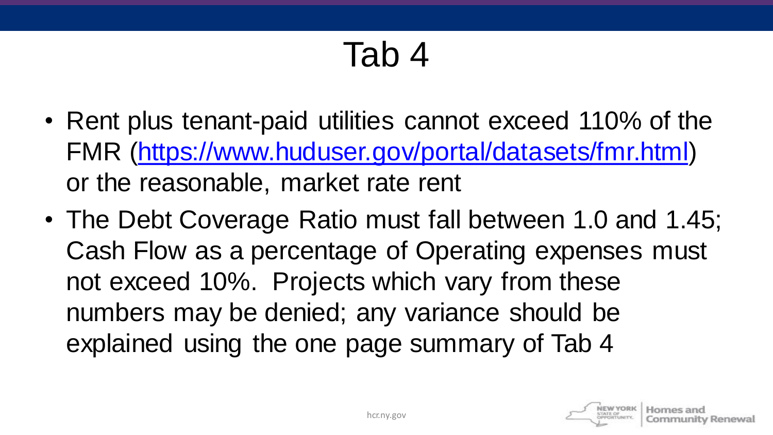### Tab 4

- Rent plus tenant-paid utilities cannot exceed 110% of the FMR [\(https://www.huduser.gov/portal/datasets/fmr.html](https://www.huduser.gov/portal/datasets/fmr.html)) or the reasonable, market rate rent
- The Debt Coverage Ratio must fall between 1.0 and 1.45; Cash Flow as a percentage of Operating expenses must not exceed 10%. Projects which vary from these numbers may be denied; any variance should be explained using the one page summary of Tab 4

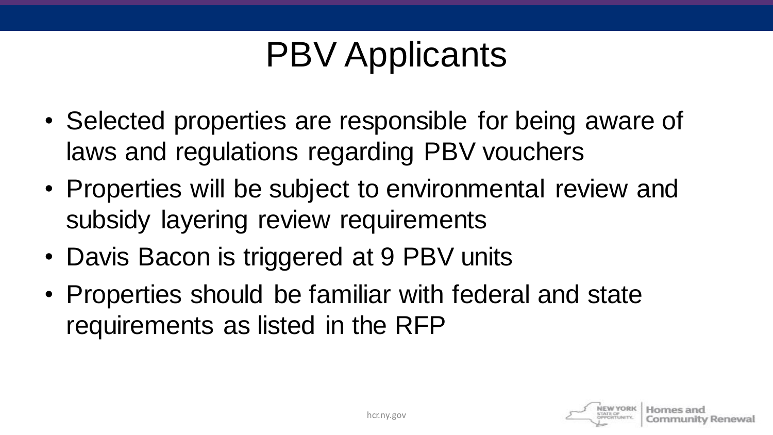## PBV Applicants

- Selected properties are responsible for being aware of laws and regulations regarding PBV vouchers
- Properties will be subject to environmental review and subsidy layering review requirements
- Davis Bacon is triggered at 9 PBV units
- Properties should be familiar with federal and state requirements as listed in the RFP